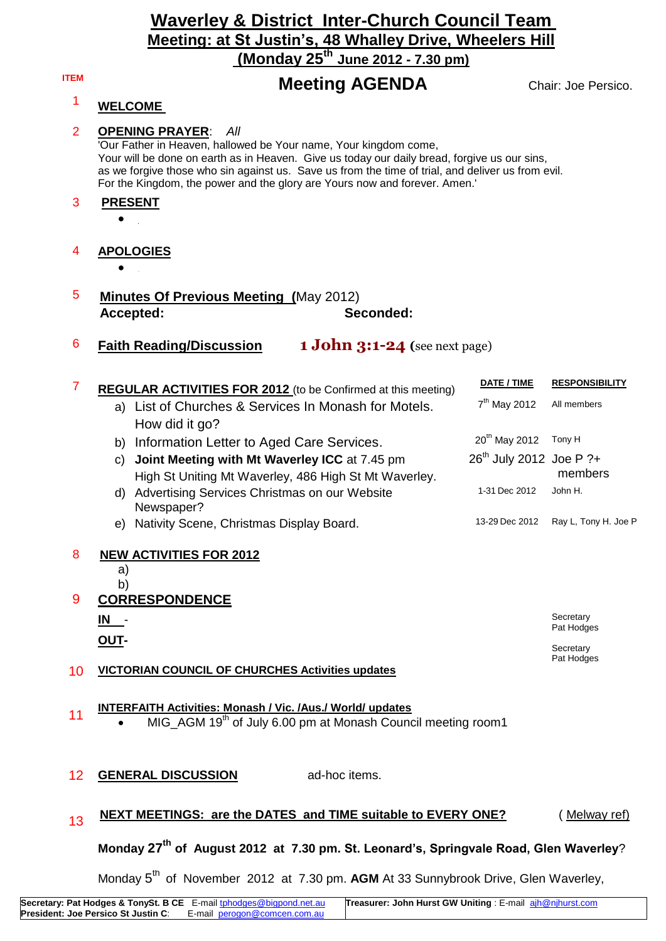## **Waverley & District Inter-Church Council Team Meeting: at St Justin's, 48 Whalley Drive, Wheelers Hill (Monday 25th June 2012 - 7.30 pm)**

# **ITEM Meeting AGENDA** Chair: Joe Persico.

## <sup>1</sup> **WELCOME**

#### 2 **OPENING PRAYER**: *All*

'Our Father in Heaven, hallowed be Your name, Your kingdom come, Your will be done on earth as in Heaven. Give us today our daily bread, forgive us our sins, as we forgive those who sin against us. Save us from the time of trial, and deliver us from evil. For the Kingdom, the power and the glory are Yours now and forever. Amen.'

#### 3 **PRESENT**

 $\bullet$ 

### 4 **APOLOGIES**

- $\bullet$
- 5 **Minutes Of Previous Meeting (**May 2012) **Accepted: Seconded:**
- 6 **Faith Reading/Discussion 1 John 3:1-24 (**see next page)

| 7  | <b>REGULAR ACTIVITIES FOR 2012</b> (to be Confirmed at this meeting)                                                                          | DATE / TIME                         | <b>RESPONSIBILITY</b>   |
|----|-----------------------------------------------------------------------------------------------------------------------------------------------|-------------------------------------|-------------------------|
|    | a) List of Churches & Services In Monash for Motels.                                                                                          | $7th$ May 2012                      | All members             |
|    | How did it go?                                                                                                                                |                                     |                         |
|    | Information Letter to Aged Care Services.<br>b)                                                                                               | 20 <sup>th</sup> May 2012           | Tony H                  |
|    | Joint Meeting with Mt Waverley ICC at 7.45 pm<br>C)<br>High St Uniting Mt Waverley, 486 High St Mt Waverley.                                  | 26 <sup>th</sup> July 2012 Joe P ?+ | members                 |
|    | Advertising Services Christmas on our Website<br>d)<br>Newspaper?                                                                             | 1-31 Dec 2012                       | John H.                 |
|    | e) Nativity Scene, Christmas Display Board.                                                                                                   | 13-29 Dec 2012                      | Ray L, Tony H. Joe P    |
| 8  | <b>NEW ACTIVITIES FOR 2012</b><br>a)<br>b)                                                                                                    |                                     |                         |
| 9  | <b>CORRESPONDENCE</b>                                                                                                                         |                                     |                         |
|    | $IN -$                                                                                                                                        |                                     | Secretary<br>Pat Hodges |
|    | OUT-                                                                                                                                          |                                     | Secretary               |
| 10 | <b>VICTORIAN COUNCIL OF CHURCHES Activities updates</b>                                                                                       |                                     | Pat Hodges              |
| 11 | <b>INTERFAITH Activities: Monash / Vic. /Aus./ World/ updates</b><br>MIG_AGM 19 <sup>th</sup> of July 6.00 pm at Monash Council meeting room1 |                                     |                         |
| 12 | <b>GENERAL DISCUSSION</b><br>ad-hoc items.                                                                                                    |                                     |                         |
| 13 | <b>NEXT MEETINGS: are the DATES and TIME suitable to EVERY ONE?</b>                                                                           |                                     | Melway ref)             |

# **Monday 27th of August 2012 at 7.30 pm. St. Leonard's, Springvale Road, Glen Waverley**?

Monday 5<sup>th</sup> of November 2012 at 7.30 pm. AGM At 33 Sunnybrook Drive, Glen Waverley,